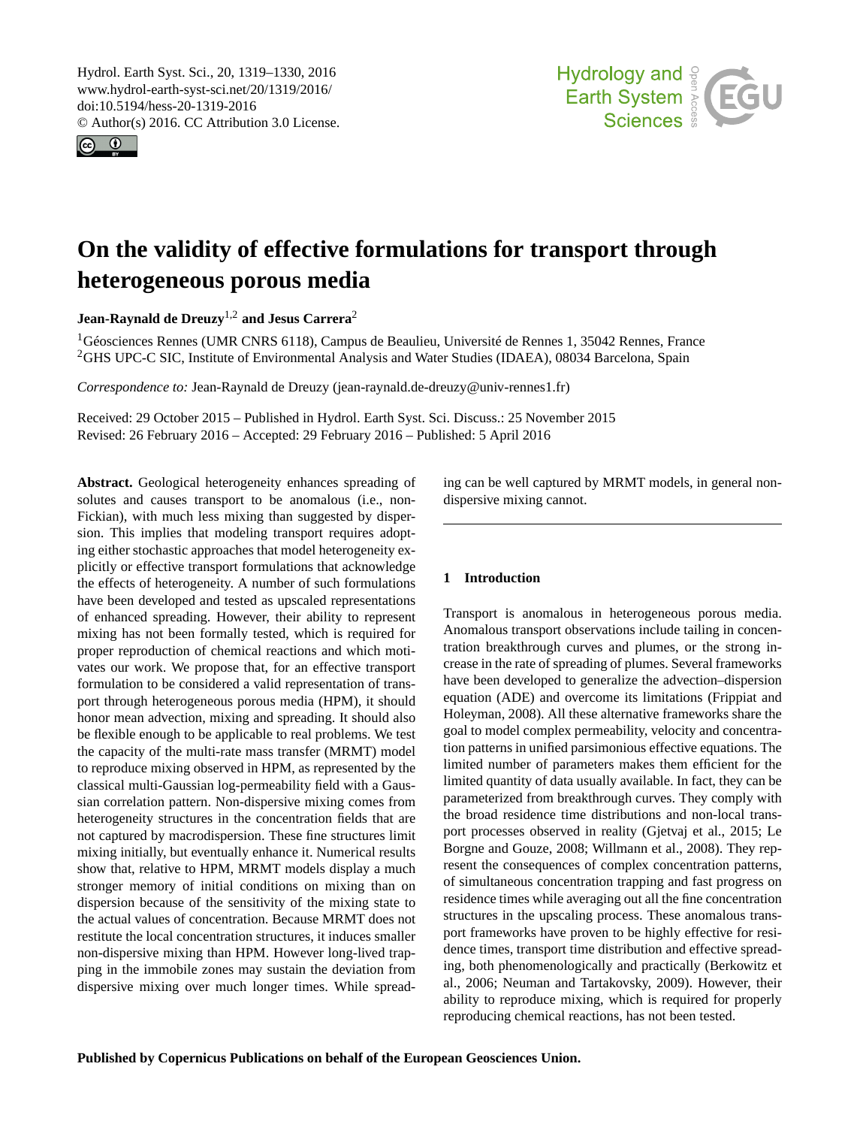<span id="page-0-1"></span>Hydrol. Earth Syst. Sci., 20, 1319–1330, 2016 www.hydrol-earth-syst-sci.net/20/1319/2016/ doi:10.5194/hess-20-1319-2016 © Author(s) 2016. CC Attribution 3.0 License.





# **On the validity of effective formulations for transport through heterogeneous porous media**

**Jean-Raynald de Dreuzy**[1,2](#page-0-0) **and Jesus Carrera**[2](#page-0-0)

<sup>1</sup>Géosciences Rennes (UMR CNRS 6118), Campus de Beaulieu, Université de Rennes 1, 35042 Rennes, France <sup>2</sup>GHS UPC-C SIC, Institute of Environmental Analysis and Water Studies (IDAEA), 08034 Barcelona, Spain

*Correspondence to:* Jean-Raynald de Dreuzy (jean-raynald.de-dreuzy@univ-rennes1.fr)

Received: 29 October 2015 – Published in Hydrol. Earth Syst. Sci. Discuss.: 25 November 2015 Revised: 26 February 2016 – Accepted: 29 February 2016 – Published: 5 April 2016

<span id="page-0-0"></span>**Abstract.** Geological heterogeneity enhances spreading of solutes and causes transport to be anomalous (i.e., non-Fickian), with much less mixing than suggested by dispersion. This implies that modeling transport requires adopting either stochastic approaches that model heterogeneity explicitly or effective transport formulations that acknowledge the effects of heterogeneity. A number of such formulations have been developed and tested as upscaled representations of enhanced spreading. However, their ability to represent mixing has not been formally tested, which is required for proper reproduction of chemical reactions and which motivates our work. We propose that, for an effective transport formulation to be considered a valid representation of transport through heterogeneous porous media (HPM), it should honor mean advection, mixing and spreading. It should also be flexible enough to be applicable to real problems. We test the capacity of the multi-rate mass transfer (MRMT) model to reproduce mixing observed in HPM, as represented by the classical multi-Gaussian log-permeability field with a Gaussian correlation pattern. Non-dispersive mixing comes from heterogeneity structures in the concentration fields that are not captured by macrodispersion. These fine structures limit mixing initially, but eventually enhance it. Numerical results show that, relative to HPM, MRMT models display a much stronger memory of initial conditions on mixing than on dispersion because of the sensitivity of the mixing state to the actual values of concentration. Because MRMT does not restitute the local concentration structures, it induces smaller non-dispersive mixing than HPM. However long-lived trapping in the immobile zones may sustain the deviation from dispersive mixing over much longer times. While spreading can be well captured by MRMT models, in general nondispersive mixing cannot.

# **1 Introduction**

Transport is anomalous in heterogeneous porous media. Anomalous transport observations include tailing in concentration breakthrough curves and plumes, or the strong increase in the rate of spreading of plumes. Several frameworks have been developed to generalize the advection–dispersion equation (ADE) and overcome its limitations (Frippiat and Holeyman, 2008). All these alternative frameworks share the goal to model complex permeability, velocity and concentration patterns in unified parsimonious effective equations. The limited number of parameters makes them efficient for the limited quantity of data usually available. In fact, they can be parameterized from breakthrough curves. They comply with the broad residence time distributions and non-local transport processes observed in reality (Gjetvaj et al., 2015; Le Borgne and Gouze, 2008; Willmann et al., 2008). They represent the consequences of complex concentration patterns, of simultaneous concentration trapping and fast progress on residence times while averaging out all the fine concentration structures in the upscaling process. These anomalous transport frameworks have proven to be highly effective for residence times, transport time distribution and effective spreading, both phenomenologically and practically (Berkowitz et al., 2006; Neuman and Tartakovsky, 2009). However, their ability to reproduce mixing, which is required for properly reproducing chemical reactions, has not been tested.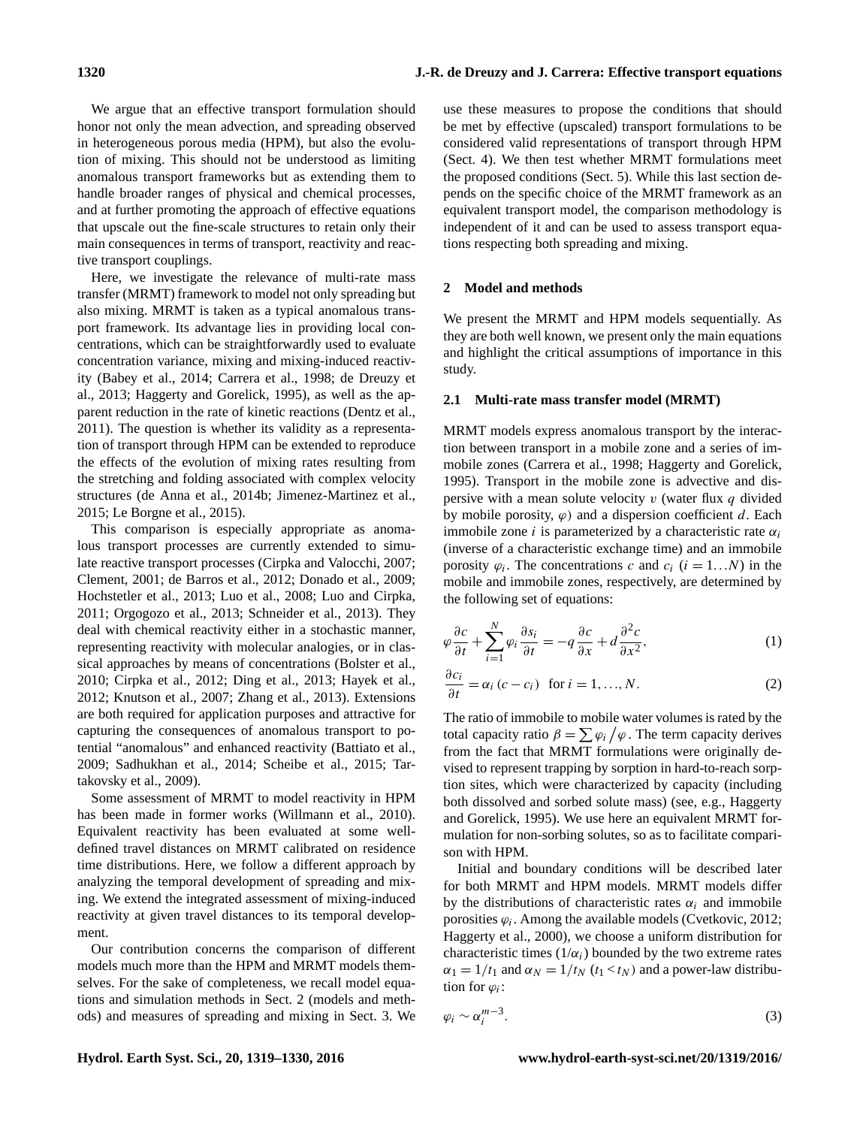We argue that an effective transport formulation should honor not only the mean advection, and spreading observed in heterogeneous porous media (HPM), but also the evolution of mixing. This should not be understood as limiting anomalous transport frameworks but as extending them to handle broader ranges of physical and chemical processes, and at further promoting the approach of effective equations that upscale out the fine-scale structures to retain only their main consequences in terms of transport, reactivity and reactive transport couplings.

Here, we investigate the relevance of multi-rate mass transfer (MRMT) framework to model not only spreading but also mixing. MRMT is taken as a typical anomalous transport framework. Its advantage lies in providing local concentrations, which can be straightforwardly used to evaluate concentration variance, mixing and mixing-induced reactivity (Babey et al., 2014; Carrera et al., 1998; de Dreuzy et al., 2013; Haggerty and Gorelick, 1995), as well as the apparent reduction in the rate of kinetic reactions (Dentz et al., 2011). The question is whether its validity as a representation of transport through HPM can be extended to reproduce the effects of the evolution of mixing rates resulting from the stretching and folding associated with complex velocity structures (de Anna et al., 2014b; Jimenez-Martinez et al., 2015; Le Borgne et al., 2015).

This comparison is especially appropriate as anomalous transport processes are currently extended to simulate reactive transport processes (Cirpka and Valocchi, 2007; Clement, 2001; de Barros et al., 2012; Donado et al., 2009; Hochstetler et al., 2013; Luo et al., 2008; Luo and Cirpka, 2011; Orgogozo et al., 2013; Schneider et al., 2013). They deal with chemical reactivity either in a stochastic manner, representing reactivity with molecular analogies, or in classical approaches by means of concentrations (Bolster et al., 2010; Cirpka et al., 2012; Ding et al., 2013; Hayek et al., 2012; Knutson et al., 2007; Zhang et al., 2013). Extensions are both required for application purposes and attractive for capturing the consequences of anomalous transport to potential "anomalous" and enhanced reactivity (Battiato et al., 2009; Sadhukhan et al., 2014; Scheibe et al., 2015; Tartakovsky et al., 2009).

Some assessment of MRMT to model reactivity in HPM has been made in former works (Willmann et al., 2010). Equivalent reactivity has been evaluated at some welldefined travel distances on MRMT calibrated on residence time distributions. Here, we follow a different approach by analyzing the temporal development of spreading and mixing. We extend the integrated assessment of mixing-induced reactivity at given travel distances to its temporal development.

Our contribution concerns the comparison of different models much more than the HPM and MRMT models themselves. For the sake of completeness, we recall model equations and simulation methods in Sect. 2 (models and methods) and measures of spreading and mixing in Sect. 3. We use these measures to propose the conditions that should be met by effective (upscaled) transport formulations to be considered valid representations of transport through HPM (Sect. 4). We then test whether MRMT formulations meet the proposed conditions (Sect. 5). While this last section depends on the specific choice of the MRMT framework as an equivalent transport model, the comparison methodology is independent of it and can be used to assess transport equations respecting both spreading and mixing.

## **2 Model and methods**

We present the MRMT and HPM models sequentially. As they are both well known, we present only the main equations and highlight the critical assumptions of importance in this study.

## **2.1 Multi-rate mass transfer model (MRMT)**

MRMT models express anomalous transport by the interaction between transport in a mobile zone and a series of immobile zones (Carrera et al., 1998; Haggerty and Gorelick, 1995). Transport in the mobile zone is advective and dispersive with a mean solute velocity  $v$  (water flux  $q$  divided by mobile porosity,  $\varphi$ ) and a dispersion coefficient d. Each immobile zone *i* is parameterized by a characteristic rate  $\alpha_i$ (inverse of a characteristic exchange time) and an immobile porosity  $\varphi_i$ . The concentrations c and  $c_i$  ( $i = 1...N$ ) in the mobile and immobile zones, respectively, are determined by the following set of equations:

$$
\varphi \frac{\partial c}{\partial t} + \sum_{i=1}^{N} \varphi_i \frac{\partial s_i}{\partial t} = -q \frac{\partial c}{\partial x} + d \frac{\partial^2 c}{\partial x^2},\tag{1}
$$

$$
\frac{\partial c_i}{\partial t} = \alpha_i (c - c_i) \text{ for } i = 1, ..., N.
$$
 (2)

The ratio of immobile to mobile water volumes is rated by the total capacity ratio  $\beta = \sum \varphi_i / \varphi$ . The term capacity derives from the fact that MRMT formulations were originally devised to represent trapping by sorption in hard-to-reach sorption sites, which were characterized by capacity (including both dissolved and sorbed solute mass) (see, e.g., Haggerty and Gorelick, 1995). We use here an equivalent MRMT formulation for non-sorbing solutes, so as to facilitate comparison with HPM.

Initial and boundary conditions will be described later for both MRMT and HPM models. MRMT models differ by the distributions of characteristic rates  $\alpha_i$  and immobile porosities  $\varphi_i$ . Among the available models (Cvetkovic, 2012; Haggerty et al., 2000), we choose a uniform distribution for characteristic times  $(1/\alpha_i)$  bounded by the two extreme rates  $\alpha_1 = 1/t_1$  and  $\alpha_N = 1/t_N$  ( $t_1 < t_N$ ) and a power-law distribution for  $\varphi_i$ :

$$
\varphi_i \sim \alpha_i^{m-3}.\tag{3}
$$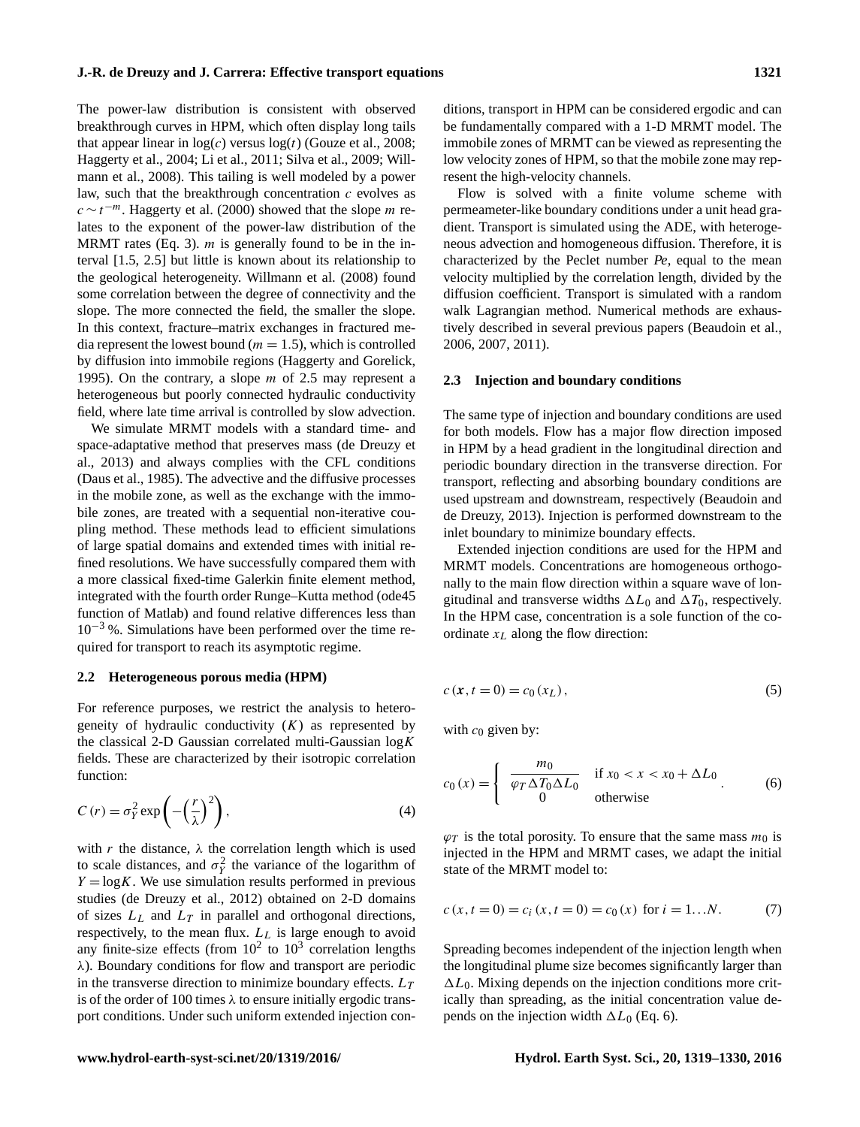The power-law distribution is consistent with observed breakthrough curves in HPM, which often display long tails that appear linear in  $log(c)$  versus  $log(t)$  (Gouze et al., 2008; Haggerty et al., 2004; Li et al., 2011; Silva et al., 2009; Willmann et al., 2008). This tailing is well modeled by a power law, such that the breakthrough concentration  $c$  evolves as  $c \sim t^{-m}$ . Haggerty et al. (2000) showed that the slope *m* relates to the exponent of the power-law distribution of the MRMT rates (Eq. 3).  $m$  is generally found to be in the interval [1.5, 2.5] but little is known about its relationship to the geological heterogeneity. Willmann et al. (2008) found some correlation between the degree of connectivity and the slope. The more connected the field, the smaller the slope. In this context, fracture–matrix exchanges in fractured media represent the lowest bound ( $m = 1.5$ ), which is controlled by diffusion into immobile regions (Haggerty and Gorelick, 1995). On the contrary, a slope  $m$  of 2.5 may represent a heterogeneous but poorly connected hydraulic conductivity field, where late time arrival is controlled by slow advection.

We simulate MRMT models with a standard time- and space-adaptative method that preserves mass (de Dreuzy et al., 2013) and always complies with the CFL conditions (Daus et al., 1985). The advective and the diffusive processes in the mobile zone, as well as the exchange with the immobile zones, are treated with a sequential non-iterative coupling method. These methods lead to efficient simulations of large spatial domains and extended times with initial refined resolutions. We have successfully compared them with a more classical fixed-time Galerkin finite element method, integrated with the fourth order Runge–Kutta method (ode45 function of Matlab) and found relative differences less than  $10^{-3}$ %. Simulations have been performed over the time required for transport to reach its asymptotic regime.

## **2.2 Heterogeneous porous media (HPM)**

For reference purposes, we restrict the analysis to heterogeneity of hydraulic conductivity  $(K)$  as represented by the classical 2-D Gaussian correlated multi-Gaussian  $log K$ fields. These are characterized by their isotropic correlation function:

$$
C(r) = \sigma_Y^2 \exp\left(-\left(\frac{r}{\lambda}\right)^2\right),\tag{4}
$$

with r the distance,  $\lambda$  the correlation length which is used to scale distances, and  $\sigma_Y^2$  the variance of the logarithm of  $Y = \log K$ . We use simulation results performed in previous studies (de Dreuzy et al., 2012) obtained on 2-D domains of sizes  $L<sub>L</sub>$  and  $L<sub>T</sub>$  in parallel and orthogonal directions, respectively, to the mean flux.  $L_L$  is large enough to avoid any finite-size effects (from  $10^2$  to  $10^3$  correlation lengths λ). Boundary conditions for flow and transport are periodic in the transverse direction to minimize boundary effects.  $L_T$ is of the order of 100 times  $\lambda$  to ensure initially ergodic transport conditions. Under such uniform extended injection conditions, transport in HPM can be considered ergodic and can be fundamentally compared with a 1-D MRMT model. The immobile zones of MRMT can be viewed as representing the low velocity zones of HPM, so that the mobile zone may represent the high-velocity channels.

Flow is solved with a finite volume scheme with permeameter-like boundary conditions under a unit head gradient. Transport is simulated using the ADE, with heterogeneous advection and homogeneous diffusion. Therefore, it is characterized by the Peclet number *Pe*, equal to the mean velocity multiplied by the correlation length, divided by the diffusion coefficient. Transport is simulated with a random walk Lagrangian method. Numerical methods are exhaustively described in several previous papers (Beaudoin et al., 2006, 2007, 2011).

#### **2.3 Injection and boundary conditions**

The same type of injection and boundary conditions are used for both models. Flow has a major flow direction imposed in HPM by a head gradient in the longitudinal direction and periodic boundary direction in the transverse direction. For transport, reflecting and absorbing boundary conditions are used upstream and downstream, respectively (Beaudoin and de Dreuzy, 2013). Injection is performed downstream to the inlet boundary to minimize boundary effects.

Extended injection conditions are used for the HPM and MRMT models. Concentrations are homogeneous orthogonally to the main flow direction within a square wave of longitudinal and transverse widths  $\Delta L_0$  and  $\Delta T_0$ , respectively. In the HPM case, concentration is a sole function of the coordinate  $x_L$  along the flow direction:

$$
c(x, t = 0) = c_0(x_L),
$$
\n(5)

with  $c_0$  given by:

$$
c_0(x) = \begin{cases} \frac{m_0}{\varphi_T \Delta T_0 \Delta L_0} & \text{if } x_0 < x < x_0 + \Delta L_0 \\ 0 & \text{otherwise} \end{cases} \tag{6}
$$

 $\varphi_T$  is the total porosity. To ensure that the same mass  $m_0$  is injected in the HPM and MRMT cases, we adapt the initial state of the MRMT model to:

$$
c(x, t = 0) = c_i(x, t = 0) = c_0(x) \text{ for } i = 1...N.
$$
 (7)

Spreading becomes independent of the injection length when the longitudinal plume size becomes significantly larger than  $\Delta L_0$ . Mixing depends on the injection conditions more critically than spreading, as the initial concentration value depends on the injection width  $\Delta L_0$  (Eq. 6).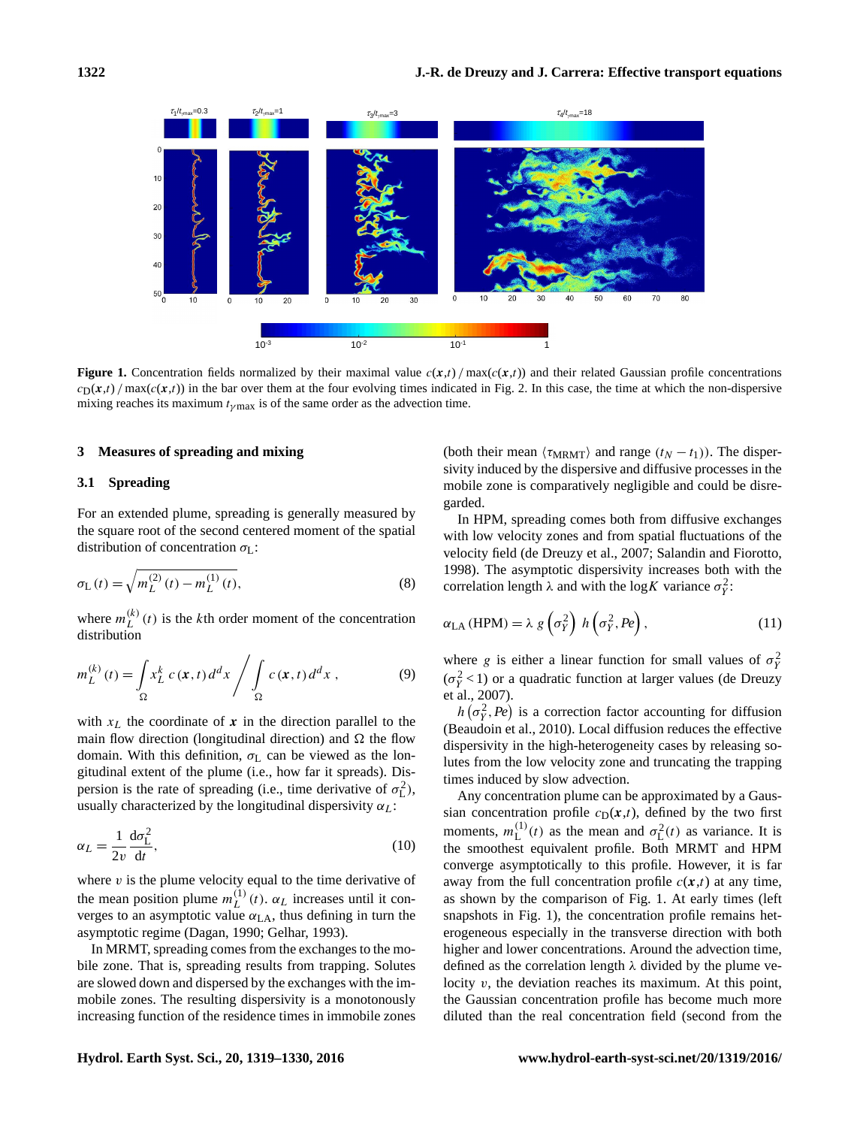

**Figure 1.** Concentration fields normalized by their maximal value  $c(x,t)/\max(c(x,t))$  and their related Gaussian profile concentrations  $c_D(x,t)$  max( $c(x,t)$ ) in the bar over them at the four evolving times indicated in Fig. 2. In this case, the time at which the non-dispersive mixing reaches its maximum  $t_{\gamma \text{max}}$  is of the same order as the advection time.

## **3 Measures of spreading and mixing**

## **3.1 Spreading**

For an extended plume, spreading is generally measured by the square root of the second centered moment of the spatial distribution of concentration  $\sigma_{\text{L}}$ :

$$
\sigma_{\mathcal{L}}(t) = \sqrt{m_{\mathcal{L}}^{(2)}(t) - m_{\mathcal{L}}^{(1)}(t)},
$$
\n(8)

where  $m_L^{(k)}$  $\binom{k}{L}(t)$  is the k<sup>th</sup> order moment of the concentration distribution

$$
m_L^{(k)}(t) = \int_{\Omega} x_L^k c(\mathbf{x}, t) d^d x / \int_{\Omega} c(\mathbf{x}, t) d^d x , \qquad (9)
$$

with  $x_L$  the coordinate of x in the direction parallel to the main flow direction (longitudinal direction) and  $\Omega$  the flow domain. With this definition,  $\sigma_{L}$  can be viewed as the longitudinal extent of the plume (i.e., how far it spreads). Dispersion is the rate of spreading (i.e., time derivative of  $\sigma_{\rm L}^2$ ), usually characterized by the longitudinal dispersivity  $\alpha_L$ :

$$
\alpha_L = \frac{1}{2v} \frac{d\sigma_L^2}{dt},\tag{10}
$$

where  $v$  is the plume velocity equal to the time derivative of the mean position plume  $m_L^{(1)}$  $L^{(1)}(t)$ .  $\alpha_L$  increases until it converges to an asymptotic value  $\alpha_{LA}$ , thus defining in turn the asymptotic regime (Dagan, 1990; Gelhar, 1993).

In MRMT, spreading comes from the exchanges to the mobile zone. That is, spreading results from trapping. Solutes are slowed down and dispersed by the exchanges with the immobile zones. The resulting dispersivity is a monotonously increasing function of the residence times in immobile zones

(both their mean  $\langle \tau_{\text{MRMT}} \rangle$  and range  $(t_N - t_1)$ ). The dispersivity induced by the dispersive and diffusive processes in the mobile zone is comparatively negligible and could be disregarded.

In HPM, spreading comes both from diffusive exchanges with low velocity zones and from spatial fluctuations of the velocity field (de Dreuzy et al., 2007; Salandin and Fiorotto, 1998). The asymptotic dispersivity increases both with the correlation length  $\lambda$  and with the log K variance  $\sigma_Y^2$ :

$$
\alpha_{\text{LA}}(\text{HPM}) = \lambda \ g\left(\sigma_Y^2\right) \ h\left(\sigma_Y^2, Pe\right),\tag{11}
$$

where g is either a linear function for small values of  $\sigma_Y^2$  $(\sigma_Y^2$ <1) or a quadratic function at larger values (de Dreuzy et al., 2007).

 $h\left(\sigma_Y^2, Pe\right)$  is a correction factor accounting for diffusion (Beaudoin et al., 2010). Local diffusion reduces the effective dispersivity in the high-heterogeneity cases by releasing solutes from the low velocity zone and truncating the trapping times induced by slow advection.

Any concentration plume can be approximated by a Gaussian concentration profile  $c_D(x,t)$ , defined by the two first moments,  $m_{\rm L}^{(1)}$  $\mathcal{L}^{(1)}(t)$  as the mean and  $\sigma_{\mathcal{L}}^2(t)$  as variance. It is the smoothest equivalent profile. Both MRMT and HPM converge asymptotically to this profile. However, it is far away from the full concentration profile  $c(x,t)$  at any time, as shown by the comparison of Fig. 1. At early times (left snapshots in Fig. 1), the concentration profile remains heterogeneous especially in the transverse direction with both higher and lower concentrations. Around the advection time, defined as the correlation length  $\lambda$  divided by the plume velocity  $v$ , the deviation reaches its maximum. At this point, the Gaussian concentration profile has become much more diluted than the real concentration field (second from the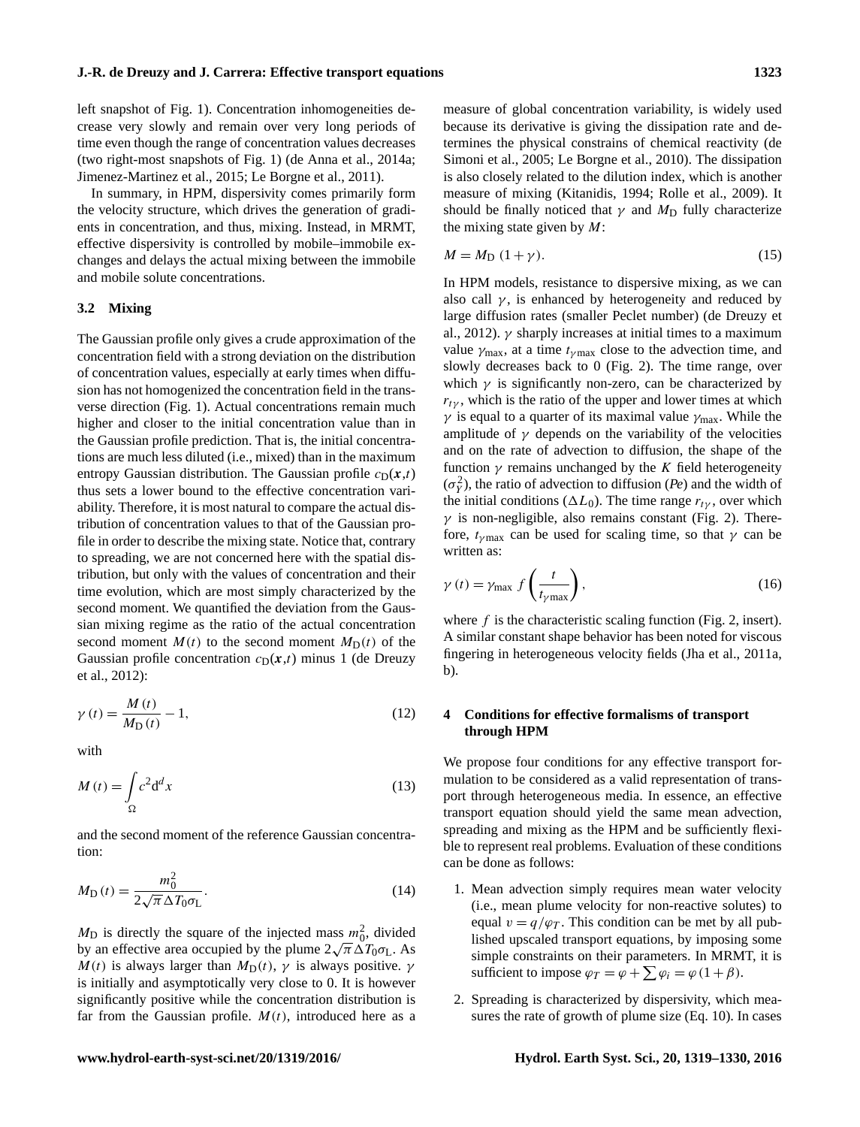left snapshot of Fig. 1). Concentration inhomogeneities decrease very slowly and remain over very long periods of time even though the range of concentration values decreases (two right-most snapshots of Fig. 1) (de Anna et al., 2014a; Jimenez-Martinez et al., 2015; Le Borgne et al., 2011).

In summary, in HPM, dispersivity comes primarily form the velocity structure, which drives the generation of gradients in concentration, and thus, mixing. Instead, in MRMT, effective dispersivity is controlled by mobile–immobile exchanges and delays the actual mixing between the immobile and mobile solute concentrations.

#### **3.2 Mixing**

The Gaussian profile only gives a crude approximation of the concentration field with a strong deviation on the distribution of concentration values, especially at early times when diffusion has not homogenized the concentration field in the transverse direction (Fig. 1). Actual concentrations remain much higher and closer to the initial concentration value than in the Gaussian profile prediction. That is, the initial concentrations are much less diluted (i.e., mixed) than in the maximum entropy Gaussian distribution. The Gaussian profile  $c_D(x,t)$ thus sets a lower bound to the effective concentration variability. Therefore, it is most natural to compare the actual distribution of concentration values to that of the Gaussian profile in order to describe the mixing state. Notice that, contrary to spreading, we are not concerned here with the spatial distribution, but only with the values of concentration and their time evolution, which are most simply characterized by the second moment. We quantified the deviation from the Gaussian mixing regime as the ratio of the actual concentration second moment  $M(t)$  to the second moment  $M_D(t)$  of the Gaussian profile concentration  $c_D(x,t)$  minus 1 (de Dreuzy et al., 2012):

$$
\gamma(t) = \frac{M(t)}{M_D(t)} - 1,\tag{12}
$$

with

$$
M(t) = \int_{\Omega} c^2 d^d x \tag{13}
$$

and the second moment of the reference Gaussian concentration:

$$
M_{\rm D}(t) = \frac{m_0^2}{2\sqrt{\pi}\,\Delta T_0 \sigma_{\rm L}}.\tag{14}
$$

 $M_{\text{D}}$  is directly the square of the injected mass  $m_0^2$ , divided  $m_D$  is directly the square of the injected mass  $m_{0}$ , divided<br>by an effective area occupied by the plume  $2\sqrt{\pi} \Delta T_0 \sigma_L$ . As  $M(t)$  is always larger than  $M_D(t)$ ,  $\gamma$  is always positive.  $\gamma$ is initially and asymptotically very close to 0. It is however significantly positive while the concentration distribution is far from the Gaussian profile.  $M(t)$ , introduced here as a measure of global concentration variability, is widely used because its derivative is giving the dissipation rate and determines the physical constrains of chemical reactivity (de Simoni et al., 2005; Le Borgne et al., 2010). The dissipation is also closely related to the dilution index, which is another measure of mixing (Kitanidis, 1994; Rolle et al., 2009). It should be finally noticed that  $\gamma$  and  $M_D$  fully characterize the mixing state given by  $M$ :

$$
M = M_{\rm D} \left( 1 + \gamma \right). \tag{15}
$$

In HPM models, resistance to dispersive mixing, as we can also call  $\gamma$ , is enhanced by heterogeneity and reduced by large diffusion rates (smaller Peclet number) (de Dreuzy et al., 2012).  $\gamma$  sharply increases at initial times to a maximum value  $\gamma_{\text{max}}$ , at a time  $t_{\gamma \text{max}}$  close to the advection time, and slowly decreases back to 0 (Fig. 2). The time range, over which  $\gamma$  is significantly non-zero, can be characterized by  $r_{t\gamma}$ , which is the ratio of the upper and lower times at which  $\gamma$  is equal to a quarter of its maximal value  $\gamma_{\text{max}}$ . While the amplitude of  $\gamma$  depends on the variability of the velocities and on the rate of advection to diffusion, the shape of the function  $\gamma$  remains unchanged by the K field heterogeneity  $(\sigma_Y^2)$ , the ratio of advection to diffusion (*Pe*) and the width of the initial conditions ( $\Delta L_0$ ). The time range  $r_{t\gamma}$ , over which  $\gamma$  is non-negligible, also remains constant (Fig. 2). Therefore,  $t_{\gamma \text{max}}$  can be used for scaling time, so that  $\gamma$  can be written as:

$$
\gamma(t) = \gamma_{\text{max}} f\left(\frac{t}{t_{\gamma \text{max}}}\right),\tag{16}
$$

where  $f$  is the characteristic scaling function (Fig. 2, insert). A similar constant shape behavior has been noted for viscous fingering in heterogeneous velocity fields (Jha et al., 2011a, b).

# **4 Conditions for effective formalisms of transport through HPM**

We propose four conditions for any effective transport formulation to be considered as a valid representation of transport through heterogeneous media. In essence, an effective transport equation should yield the same mean advection, spreading and mixing as the HPM and be sufficiently flexible to represent real problems. Evaluation of these conditions can be done as follows:

- 1. Mean advection simply requires mean water velocity (i.e., mean plume velocity for non-reactive solutes) to equal  $v = q/\varphi_T$ . This condition can be met by all published upscaled transport equations, by imposing some simple constraints on their parameters. In MRMT, it is sufficient to impose  $\varphi_T = \varphi + \sum \varphi_i = \varphi (1 + \beta)$ .
- 2. Spreading is characterized by dispersivity, which measures the rate of growth of plume size (Eq. 10). In cases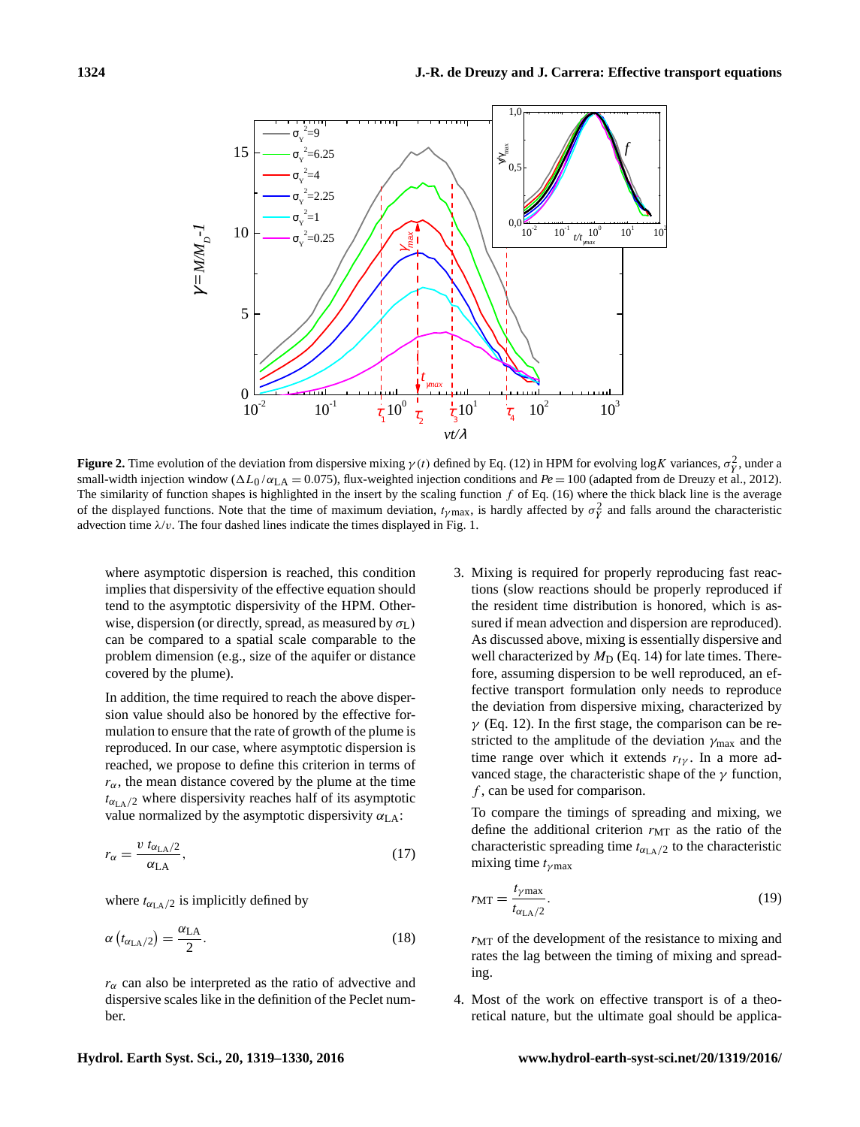

**Figure 2.** Time evolution of the deviation from dispersive mixing  $\gamma(t)$  defined by Eq. (12) in HPM for evolving logK variances,  $\sigma_Y^2$ , under a small-width injection window ( $\Delta L_0 / \alpha_{LA} = 0.075$ ), flux-weighted injection conditions and  $Pe = 100$  (adapted from de Dreuzy et al., 2012). The similarity of function shapes is highlighted in the insert by the scaling function  $f$  of Eq. (16) where the thick black line is the average of the displayed functions. Note that the time of maximum deviation,  $t_{\gamma \text{max}}$ , is hardly affected by  $\sigma_Y^2$  and falls around the characteristic advection time  $\lambda/v$ . The four dashed lines indicate the times displayed in Fig. 1.

where asymptotic dispersion is reached, this condition implies that dispersivity of the effective equation should tend to the asymptotic dispersivity of the HPM. Otherwise, dispersion (or directly, spread, as measured by  $\sigma_L$ ) can be compared to a spatial scale comparable to the problem dimension (e.g., size of the aquifer or distance covered by the plume).

In addition, the time required to reach the above dispersion value should also be honored by the effective formulation to ensure that the rate of growth of the plume is reproduced. In our case, where asymptotic dispersion is reached, we propose to define this criterion in terms of  $r_{\alpha}$ , the mean distance covered by the plume at the time  $t_{\alpha_{\text{LA}}/2}$  where dispersivity reaches half of its asymptotic value normalized by the asymptotic dispersivity  $\alpha_{LA}$ :

$$
r_{\alpha} = \frac{v \ t_{\alpha_{\text{LA}}/2}}{\alpha_{\text{LA}}},\tag{17}
$$

where  $t_{\alpha_{\text{LA}}/2}$  is implicitly defined by

$$
\alpha \left( t_{\alpha_{\text{LA}}/2} \right) = \frac{\alpha_{\text{LA}}}{2}.
$$
\n(18)

 $r_{\alpha}$  can also be interpreted as the ratio of advective and dispersive scales like in the definition of the Peclet number.

3. Mixing is required for properly reproducing fast reactions (slow reactions should be properly reproduced if the resident time distribution is honored, which is assured if mean advection and dispersion are reproduced). As discussed above, mixing is essentially dispersive and well characterized by  $M_D$  (Eq. 14) for late times. Therefore, assuming dispersion to be well reproduced, an effective transport formulation only needs to reproduce the deviation from dispersive mixing, characterized by  $\gamma$  (Eq. 12). In the first stage, the comparison can be restricted to the amplitude of the deviation  $\gamma_{\text{max}}$  and the time range over which it extends  $r_{t\gamma}$ . In a more advanced stage, the characteristic shape of the  $\gamma$  function,  $f$ , can be used for comparison.

To compare the timings of spreading and mixing, we define the additional criterion  $r_{\text{MT}}$  as the ratio of the characteristic spreading time  $t_{\alpha_{\text{LA}}/2}$  to the characteristic mixing time  $t_{\nu \max}$ 

$$
r_{\rm MT} = \frac{t_{\gamma \rm max}}{t_{\alpha_{\rm LA}/2}}.\tag{19}
$$

 $r_{\text{MT}}$  of the development of the resistance to mixing and rates the lag between the timing of mixing and spreading.

4. Most of the work on effective transport is of a theoretical nature, but the ultimate goal should be applica-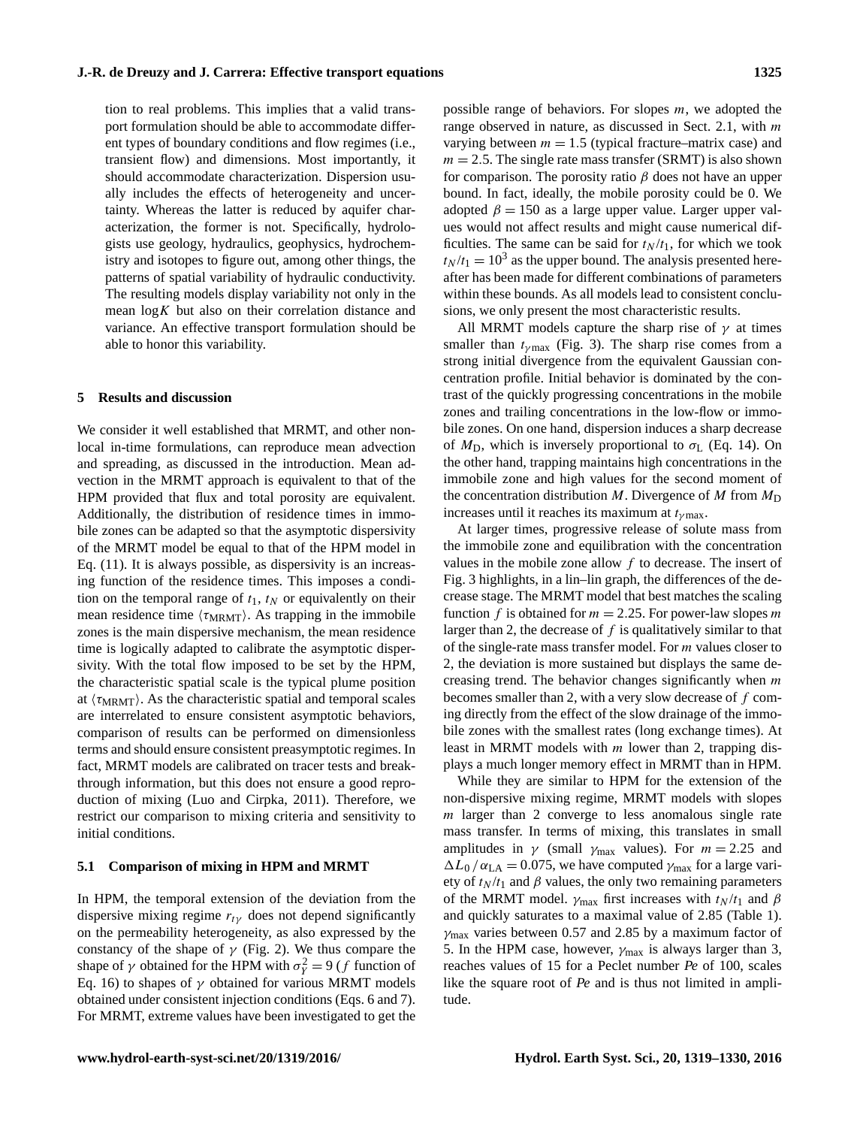tion to real problems. This implies that a valid transport formulation should be able to accommodate different types of boundary conditions and flow regimes (i.e., transient flow) and dimensions. Most importantly, it should accommodate characterization. Dispersion usually includes the effects of heterogeneity and uncertainty. Whereas the latter is reduced by aquifer characterization, the former is not. Specifically, hydrologists use geology, hydraulics, geophysics, hydrochemistry and isotopes to figure out, among other things, the patterns of spatial variability of hydraulic conductivity. The resulting models display variability not only in the mean  $\log K$  but also on their correlation distance and variance. An effective transport formulation should be able to honor this variability.

## **5 Results and discussion**

We consider it well established that MRMT, and other nonlocal in-time formulations, can reproduce mean advection and spreading, as discussed in the introduction. Mean advection in the MRMT approach is equivalent to that of the HPM provided that flux and total porosity are equivalent. Additionally, the distribution of residence times in immobile zones can be adapted so that the asymptotic dispersivity of the MRMT model be equal to that of the HPM model in Eq. (11). It is always possible, as dispersivity is an increasing function of the residence times. This imposes a condition on the temporal range of  $t_1$ ,  $t_N$  or equivalently on their mean residence time  $\langle \tau_{\text{MRMT}} \rangle$ . As trapping in the immobile zones is the main dispersive mechanism, the mean residence time is logically adapted to calibrate the asymptotic dispersivity. With the total flow imposed to be set by the HPM, the characteristic spatial scale is the typical plume position at  $\langle \tau_{\text{MRMT}} \rangle$ . As the characteristic spatial and temporal scales are interrelated to ensure consistent asymptotic behaviors, comparison of results can be performed on dimensionless terms and should ensure consistent preasymptotic regimes. In fact, MRMT models are calibrated on tracer tests and breakthrough information, but this does not ensure a good reproduction of mixing (Luo and Cirpka, 2011). Therefore, we restrict our comparison to mixing criteria and sensitivity to initial conditions.

## **5.1 Comparison of mixing in HPM and MRMT**

In HPM, the temporal extension of the deviation from the dispersive mixing regime  $r_{t\gamma}$  does not depend significantly on the permeability heterogeneity, as also expressed by the constancy of the shape of  $\gamma$  (Fig. 2). We thus compare the shape of  $\gamma$  obtained for the HPM with  $\sigma_Y^2 = 9$  (*f* function of Eq. 16) to shapes of  $\gamma$  obtained for various MRMT models obtained under consistent injection conditions (Eqs. 6 and 7). For MRMT, extreme values have been investigated to get the

possible range of behaviors. For slopes  $m$ , we adopted the range observed in nature, as discussed in Sect. 2.1, with m varying between  $m = 1.5$  (typical fracture–matrix case) and  $m = 2.5$ . The single rate mass transfer (SRMT) is also shown for comparison. The porosity ratio  $\beta$  does not have an upper bound. In fact, ideally, the mobile porosity could be 0. We adopted  $\beta = 150$  as a large upper value. Larger upper values would not affect results and might cause numerical difficulties. The same can be said for  $t_N / t_1$ , for which we took  $t_N/t_1 = 10^3$  as the upper bound. The analysis presented hereafter has been made for different combinations of parameters within these bounds. As all models lead to consistent conclusions, we only present the most characteristic results.

All MRMT models capture the sharp rise of  $\gamma$  at times smaller than  $t_{\nu max}$  (Fig. 3). The sharp rise comes from a strong initial divergence from the equivalent Gaussian concentration profile. Initial behavior is dominated by the contrast of the quickly progressing concentrations in the mobile zones and trailing concentrations in the low-flow or immobile zones. On one hand, dispersion induces a sharp decrease of  $M_D$ , which is inversely proportional to  $\sigma_L$  (Eq. 14). On the other hand, trapping maintains high concentrations in the immobile zone and high values for the second moment of the concentration distribution M. Divergence of M from  $M_D$ increases until it reaches its maximum at  $t_{\gamma \text{max}}$ .

At larger times, progressive release of solute mass from the immobile zone and equilibration with the concentration values in the mobile zone allow  $f$  to decrease. The insert of Fig. 3 highlights, in a lin–lin graph, the differences of the decrease stage. The MRMT model that best matches the scaling function f is obtained for  $m = 2.25$ . For power-law slopes m larger than 2, the decrease of  $f$  is qualitatively similar to that of the single-rate mass transfer model. For m values closer to 2, the deviation is more sustained but displays the same decreasing trend. The behavior changes significantly when  $m$ becomes smaller than 2, with a very slow decrease of f coming directly from the effect of the slow drainage of the immobile zones with the smallest rates (long exchange times). At least in MRMT models with  $m$  lower than 2, trapping displays a much longer memory effect in MRMT than in HPM.

While they are similar to HPM for the extension of the non-dispersive mixing regime, MRMT models with slopes  $m$  larger than 2 converge to less anomalous single rate mass transfer. In terms of mixing, this translates in small amplitudes in  $\gamma$  (small  $\gamma_{\text{max}}$  values). For  $m = 2.25$  and  $\Delta L_0 / \alpha_{\text{LA}} = 0.075$ , we have computed  $\gamma_{\text{max}}$  for a large variety of  $t_N / t_1$  and  $\beta$  values, the only two remaining parameters of the MRMT model.  $\gamma_{\text{max}}$  first increases with  $t_N / t_1$  and  $\beta$ and quickly saturates to a maximal value of 2.85 (Table 1).  $\gamma_{\text{max}}$  varies between 0.57 and 2.85 by a maximum factor of 5. In the HPM case, however,  $\gamma_{\text{max}}$  is always larger than 3, reaches values of 15 for a Peclet number *Pe* of 100, scales like the square root of *Pe* and is thus not limited in amplitude.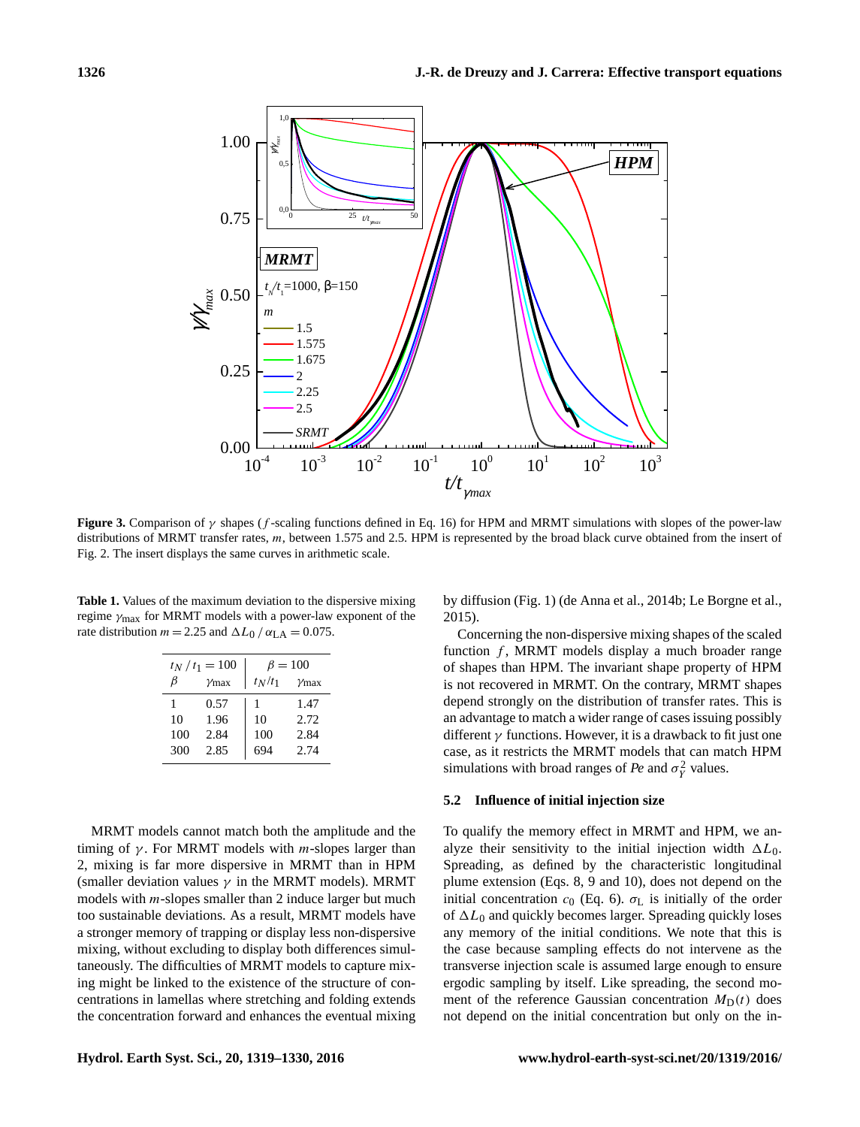

**Figure 3.** Comparison of  $\gamma$  shapes (f-scaling functions defined in Eq. 16) for HPM and MRMT simulations with slopes of the power-law distributions of MRMT transfer rates, m, between 1.575 and 2.5. HPM is represented by the broad black curve obtained from the insert of Fig. 2. The insert displays the same curves in arithmetic scale.

**Table 1.** Values of the maximum deviation to the dispersive mixing regime  $\gamma_{\text{max}}$  for MRMT models with a power-law exponent of the rate distribution  $m = 2.25$  and  $\Delta L_0 / \alpha_{LA} = 0.075$ .

| $t_N/t_1=100$ |              | $\beta = 100$ |           |
|---------------|--------------|---------------|-----------|
| B             | $\gamma$ max | $t_N/t_1$     | $\nu$ max |
| 1             | 0.57         | ı             | 1.47      |
| 10            | 1.96         | 10            | 2.72      |
| 100           | 2.84         | 100           | 2.84      |
| 300           | 2.85         | 694           | 2.74      |

MRMT models cannot match both the amplitude and the timing of  $\gamma$ . For MRMT models with *m*-slopes larger than 2, mixing is far more dispersive in MRMT than in HPM (smaller deviation values  $\gamma$  in the MRMT models). MRMT models with m-slopes smaller than 2 induce larger but much too sustainable deviations. As a result, MRMT models have a stronger memory of trapping or display less non-dispersive mixing, without excluding to display both differences simultaneously. The difficulties of MRMT models to capture mixing might be linked to the existence of the structure of concentrations in lamellas where stretching and folding extends the concentration forward and enhances the eventual mixing by diffusion (Fig. 1) (de Anna et al., 2014b; Le Borgne et al., 2015).

Concerning the non-dispersive mixing shapes of the scaled function  $f$ , MRMT models display a much broader range of shapes than HPM. The invariant shape property of HPM is not recovered in MRMT. On the contrary, MRMT shapes depend strongly on the distribution of transfer rates. This is an advantage to match a wider range of cases issuing possibly different  $\gamma$  functions. However, it is a drawback to fit just one case, as it restricts the MRMT models that can match HPM simulations with broad ranges of *Pe* and  $\sigma_Y^2$  values.

## **5.2 Influence of initial injection size**

To qualify the memory effect in MRMT and HPM, we analyze their sensitivity to the initial injection width  $\Delta L_0$ . Spreading, as defined by the characteristic longitudinal plume extension (Eqs. 8, 9 and 10), does not depend on the initial concentration  $c_0$  (Eq. 6).  $\sigma_L$  is initially of the order of  $\Delta L_0$  and quickly becomes larger. Spreading quickly loses any memory of the initial conditions. We note that this is the case because sampling effects do not intervene as the transverse injection scale is assumed large enough to ensure ergodic sampling by itself. Like spreading, the second moment of the reference Gaussian concentration  $M_D(t)$  does not depend on the initial concentration but only on the in-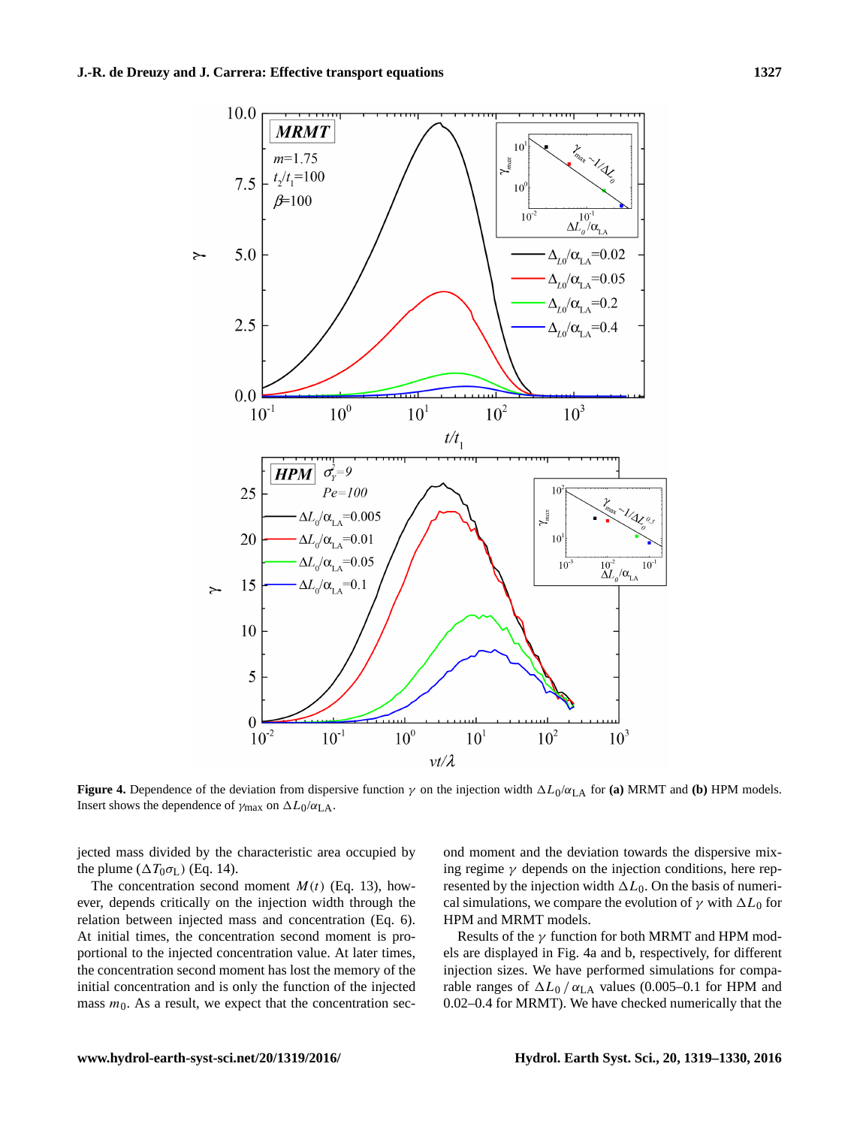

**Figure 4.** Dependence of the deviation from dispersive function  $\gamma$  on the injection width  $\Delta L_0/\alpha_{LA}$  for (a) MRMT and (b) HPM models. Insert shows the dependence of  $\gamma_{\text{max}}$  on  $\Delta L_0/\alpha_{\text{LA}}$ .

jected mass divided by the characteristic area occupied by the plume  $(\Delta T_0 \sigma_L)$  (Eq. 14).

The concentration second moment  $M(t)$  (Eq. 13), however, depends critically on the injection width through the relation between injected mass and concentration (Eq. 6). At initial times, the concentration second moment is proportional to the injected concentration value. At later times, the concentration second moment has lost the memory of the initial concentration and is only the function of the injected mass  $m<sub>0</sub>$ . As a result, we expect that the concentration second moment and the deviation towards the dispersive mixing regime  $\gamma$  depends on the injection conditions, here represented by the injection width  $\Delta L_0$ . On the basis of numerical simulations, we compare the evolution of  $\gamma$  with  $\Delta L_0$  for HPM and MRMT models.

Results of the  $\gamma$  function for both MRMT and HPM models are displayed in Fig. 4a and b, respectively, for different injection sizes. We have performed simulations for comparable ranges of  $\Delta L_0 / \alpha_{LA}$  values (0.005–0.1 for HPM and 0.02–0.4 for MRMT). We have checked numerically that the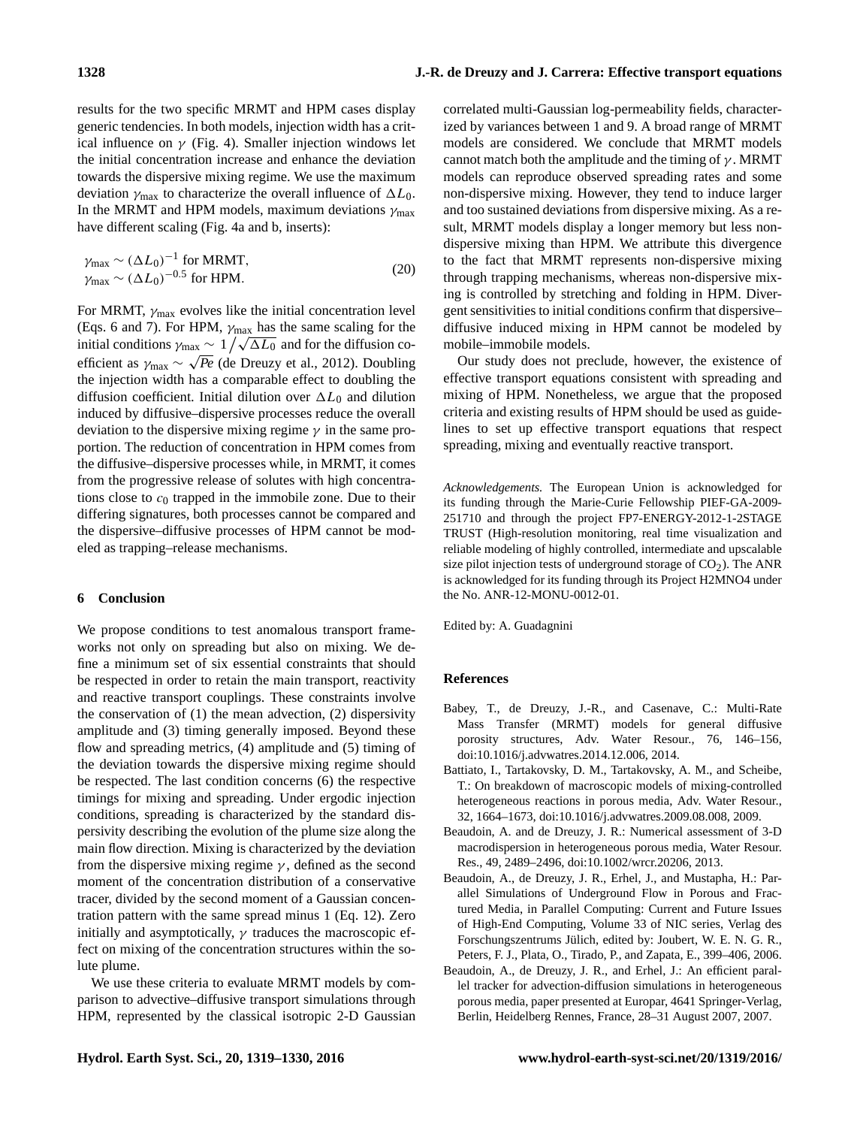results for the two specific MRMT and HPM cases display generic tendencies. In both models, injection width has a critical influence on  $\gamma$  (Fig. 4). Smaller injection windows let the initial concentration increase and enhance the deviation towards the dispersive mixing regime. We use the maximum deviation  $\gamma_{\text{max}}$  to characterize the overall influence of  $\Delta L_0$ . In the MRMT and HPM models, maximum deviations  $\gamma_{\text{max}}$ have different scaling (Fig. 4a and b, inserts):

$$
\gamma_{\text{max}} \sim (\Delta L_0)^{-1} \text{ for MRMT},
$$
  
\n
$$
\gamma_{\text{max}} \sim (\Delta L_0)^{-0.5} \text{ for HPM}.
$$
 (20)

For MRMT,  $\gamma_{\text{max}}$  evolves like the initial concentration level (Eqs. 6 and 7). For HPM,  $\gamma_{\text{max}}$  has the same scaling for the (Eqs. 6 and 7). For HPM,  $\gamma_{\text{max}}$  has the same scaling for the initial conditions  $\gamma_{\text{max}} \sim 1/\sqrt{\Delta L_0}$  and for the diffusion coefficient as  $\gamma_{\text{max}} \sim \sqrt{Pe}$  (de Dreuzy et al., 2012). Doubling the injection width has a comparable effect to doubling the diffusion coefficient. Initial dilution over  $\Delta L_0$  and dilution induced by diffusive–dispersive processes reduce the overall deviation to the dispersive mixing regime  $\gamma$  in the same proportion. The reduction of concentration in HPM comes from the diffusive–dispersive processes while, in MRMT, it comes from the progressive release of solutes with high concentrations close to  $c_0$  trapped in the immobile zone. Due to their differing signatures, both processes cannot be compared and the dispersive–diffusive processes of HPM cannot be modeled as trapping–release mechanisms.

#### **6 Conclusion**

We propose conditions to test anomalous transport frameworks not only on spreading but also on mixing. We define a minimum set of six essential constraints that should be respected in order to retain the main transport, reactivity and reactive transport couplings. These constraints involve the conservation of (1) the mean advection, (2) dispersivity amplitude and (3) timing generally imposed. Beyond these flow and spreading metrics, (4) amplitude and (5) timing of the deviation towards the dispersive mixing regime should be respected. The last condition concerns (6) the respective timings for mixing and spreading. Under ergodic injection conditions, spreading is characterized by the standard dispersivity describing the evolution of the plume size along the main flow direction. Mixing is characterized by the deviation from the dispersive mixing regime  $\gamma$ , defined as the second moment of the concentration distribution of a conservative tracer, divided by the second moment of a Gaussian concentration pattern with the same spread minus 1 (Eq. 12). Zero initially and asymptotically,  $\gamma$  traduces the macroscopic effect on mixing of the concentration structures within the solute plume.

We use these criteria to evaluate MRMT models by comparison to advective–diffusive transport simulations through HPM, represented by the classical isotropic 2-D Gaussian

correlated multi-Gaussian log-permeability fields, characterized by variances between 1 and 9. A broad range of MRMT models are considered. We conclude that MRMT models cannot match both the amplitude and the timing of  $\gamma$ . MRMT models can reproduce observed spreading rates and some non-dispersive mixing. However, they tend to induce larger and too sustained deviations from dispersive mixing. As a result, MRMT models display a longer memory but less nondispersive mixing than HPM. We attribute this divergence to the fact that MRMT represents non-dispersive mixing through trapping mechanisms, whereas non-dispersive mixing is controlled by stretching and folding in HPM. Divergent sensitivities to initial conditions confirm that dispersive– diffusive induced mixing in HPM cannot be modeled by mobile–immobile models.

Our study does not preclude, however, the existence of effective transport equations consistent with spreading and mixing of HPM. Nonetheless, we argue that the proposed criteria and existing results of HPM should be used as guidelines to set up effective transport equations that respect spreading, mixing and eventually reactive transport.

*Acknowledgements.* The European Union is acknowledged for its funding through the Marie-Curie Fellowship PIEF-GA-2009- 251710 and through the project FP7-ENERGY-2012-1-2STAGE TRUST (High-resolution monitoring, real time visualization and reliable modeling of highly controlled, intermediate and upscalable size pilot injection tests of underground storage of  $CO<sub>2</sub>$ ). The ANR is acknowledged for its funding through its Project H2MNO4 under the No. ANR-12-MONU-0012-01.

Edited by: A. Guadagnini

#### **References**

- Babey, T., de Dreuzy, J.-R., and Casenave, C.: Multi-Rate Mass Transfer (MRMT) models for general diffusive porosity structures, Adv. Water Resour., 76, 146–156, doi[:10.1016/j.advwatres.2014.12.006,](http://dx.doi.org/10.1016/j.advwatres.2014.12.006) 2014.
- Battiato, I., Tartakovsky, D. M., Tartakovsky, A. M., and Scheibe, T.: On breakdown of macroscopic models of mixing-controlled heterogeneous reactions in porous media, Adv. Water Resour., 32, 1664–1673, doi[:10.1016/j.advwatres.2009.08.008,](http://dx.doi.org/10.1016/j.advwatres.2009.08.008) 2009.
- Beaudoin, A. and de Dreuzy, J. R.: Numerical assessment of 3-D macrodispersion in heterogeneous porous media, Water Resour. Res., 49, 2489–2496, doi[:10.1002/wrcr.20206,](http://dx.doi.org/10.1002/wrcr.20206) 2013.
- Beaudoin, A., de Dreuzy, J. R., Erhel, J., and Mustapha, H.: Parallel Simulations of Underground Flow in Porous and Fractured Media, in Parallel Computing: Current and Future Issues of High-End Computing, Volume 33 of NIC series, Verlag des Forschungszentrums Jülich, edited by: Joubert, W. E. N. G. R., Peters, F. J., Plata, O., Tirado, P., and Zapata, E., 399–406, 2006.
- Beaudoin, A., de Dreuzy, J. R., and Erhel, J.: An efficient parallel tracker for advection-diffusion simulations in heterogeneous porous media, paper presented at Europar, 4641 Springer-Verlag, Berlin, Heidelberg Rennes, France, 28–31 August 2007, 2007.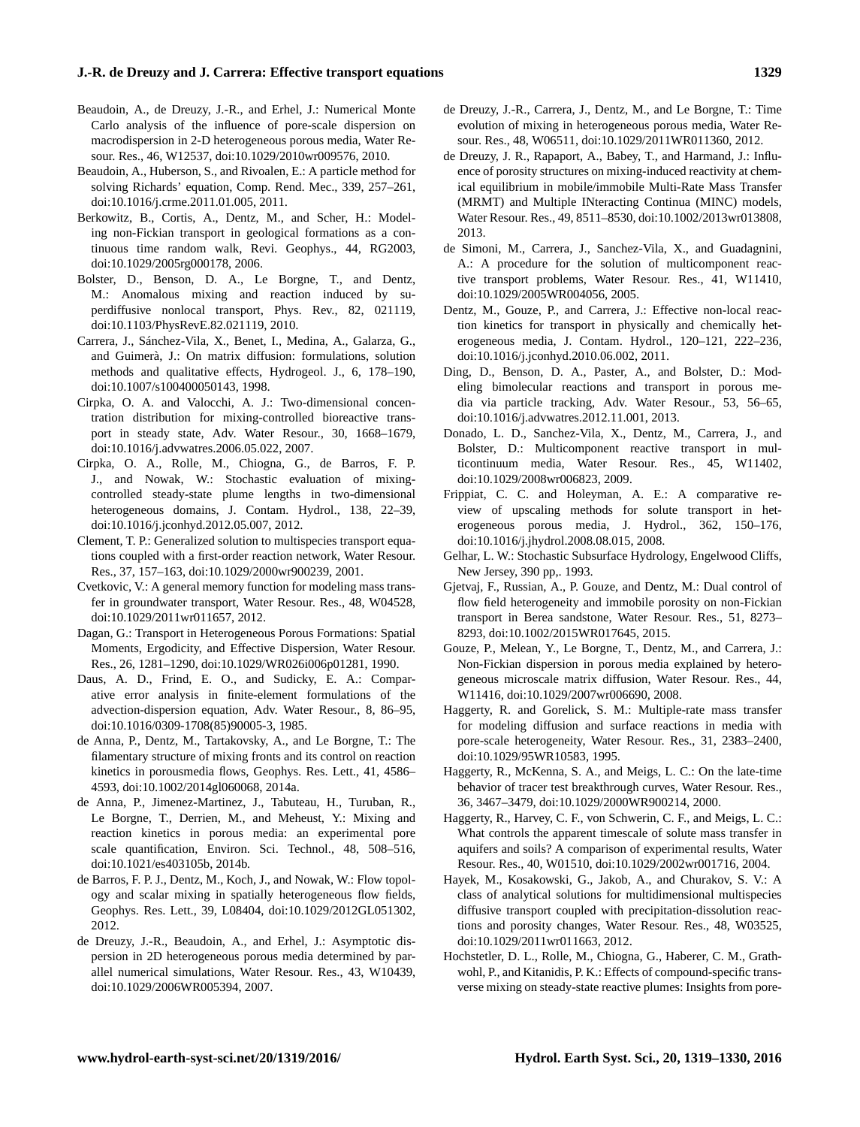## **J.-R. de Dreuzy and J. Carrera: Effective transport equations 1329**

- Beaudoin, A., de Dreuzy, J.-R., and Erhel, J.: Numerical Monte Carlo analysis of the influence of pore-scale dispersion on macrodispersion in 2-D heterogeneous porous media, Water Resour. Res., 46, W12537, doi[:10.1029/2010wr009576,](http://dx.doi.org/10.1029/2010wr009576) 2010.
- Beaudoin, A., Huberson, S., and Rivoalen, E.: A particle method for solving Richards' equation, Comp. Rend. Mec., 339, 257–261, doi[:10.1016/j.crme.2011.01.005,](http://dx.doi.org/10.1016/j.crme.2011.01.005) 2011.
- Berkowitz, B., Cortis, A., Dentz, M., and Scher, H.: Modeling non-Fickian transport in geological formations as a continuous time random walk, Revi. Geophys., 44, RG2003, doi[:10.1029/2005rg000178,](http://dx.doi.org/10.1029/2005rg000178) 2006.
- Bolster, D., Benson, D. A., Le Borgne, T., and Dentz, M.: Anomalous mixing and reaction induced by superdiffusive nonlocal transport, Phys. Rev., 82, 021119, doi[:10.1103/PhysRevE.82.021119,](http://dx.doi.org/10.1103/PhysRevE.82.021119) 2010.
- Carrera, J., Sánchez-Vila, X., Benet, I., Medina, A., Galarza, G., and Guimerà, J.: On matrix diffusion: formulations, solution methods and qualitative effects, Hydrogeol. J., 6, 178–190, doi[:10.1007/s100400050143,](http://dx.doi.org/10.1007/s100400050143) 1998.
- Cirpka, O. A. and Valocchi, A. J.: Two-dimensional concentration distribution for mixing-controlled bioreactive transport in steady state, Adv. Water Resour., 30, 1668–1679, doi[:10.1016/j.advwatres.2006.05.022,](http://dx.doi.org/10.1016/j.advwatres.2006.05.022) 2007.
- Cirpka, O. A., Rolle, M., Chiogna, G., de Barros, F. P. J., and Nowak, W.: Stochastic evaluation of mixingcontrolled steady-state plume lengths in two-dimensional heterogeneous domains, J. Contam. Hydrol., 138, 22–39, doi[:10.1016/j.jconhyd.2012.05.007,](http://dx.doi.org/10.1016/j.jconhyd.2012.05.007) 2012.
- Clement, T. P.: Generalized solution to multispecies transport equations coupled with a first-order reaction network, Water Resour. Res., 37, 157–163, doi[:10.1029/2000wr900239,](http://dx.doi.org/10.1029/2000wr900239) 2001.
- Cvetkovic, V.: A general memory function for modeling mass transfer in groundwater transport, Water Resour. Res., 48, W04528, doi[:10.1029/2011wr011657,](http://dx.doi.org/10.1029/2011wr011657) 2012.
- Dagan, G.: Transport in Heterogeneous Porous Formations: Spatial Moments, Ergodicity, and Effective Dispersion, Water Resour. Res., 26, 1281–1290, doi[:10.1029/WR026i006p01281,](http://dx.doi.org/10.1029/WR026i006p01281) 1990.
- Daus, A. D., Frind, E. O., and Sudicky, E. A.: Comparative error analysis in finite-element formulations of the advection-dispersion equation, Adv. Water Resour., 8, 86–95, doi[:10.1016/0309-1708\(85\)90005-3,](http://dx.doi.org/10.1016/0309-1708(85)90005-3) 1985.
- de Anna, P., Dentz, M., Tartakovsky, A., and Le Borgne, T.: The filamentary structure of mixing fronts and its control on reaction kinetics in porousmedia flows, Geophys. Res. Lett., 41, 4586– 4593, doi[:10.1002/2014gl060068,](http://dx.doi.org/10.1002/2014gl060068) 2014a.
- de Anna, P., Jimenez-Martinez, J., Tabuteau, H., Turuban, R., Le Borgne, T., Derrien, M., and Meheust, Y.: Mixing and reaction kinetics in porous media: an experimental pore scale quantification, Environ. Sci. Technol., 48, 508–516, doi[:10.1021/es403105b,](http://dx.doi.org/10.1021/es403105b) 2014b.
- de Barros, F. P. J., Dentz, M., Koch, J., and Nowak, W.: Flow topology and scalar mixing in spatially heterogeneous flow fields, Geophys. Res. Lett., 39, L08404, doi[:10.1029/2012GL051302,](http://dx.doi.org/10.1029/2012GL051302) 2012.
- de Dreuzy, J.-R., Beaudoin, A., and Erhel, J.: Asymptotic dispersion in 2D heterogeneous porous media determined by parallel numerical simulations, Water Resour. Res., 43, W10439, doi[:10.1029/2006WR005394,](http://dx.doi.org/10.1029/2006WR005394) 2007.
- de Dreuzy, J.-R., Carrera, J., Dentz, M., and Le Borgne, T.: Time evolution of mixing in heterogeneous porous media, Water Resour. Res., 48, W06511, doi[:10.1029/2011WR011360,](http://dx.doi.org/10.1029/2011WR011360) 2012.
- de Dreuzy, J. R., Rapaport, A., Babey, T., and Harmand, J.: Influence of porosity structures on mixing-induced reactivity at chemical equilibrium in mobile/immobile Multi-Rate Mass Transfer (MRMT) and Multiple INteracting Continua (MINC) models, Water Resour. Res., 49, 8511–8530, doi[:10.1002/2013wr013808,](http://dx.doi.org/10.1002/2013wr013808) 2013.
- de Simoni, M., Carrera, J., Sanchez-Vila, X., and Guadagnini, A.: A procedure for the solution of multicomponent reactive transport problems, Water Resour. Res., 41, W11410, doi[:10.1029/2005WR004056,](http://dx.doi.org/10.1029/2005WR004056) 2005.
- Dentz, M., Gouze, P., and Carrera, J.: Effective non-local reaction kinetics for transport in physically and chemically heterogeneous media, J. Contam. Hydrol., 120–121, 222–236, doi[:10.1016/j.jconhyd.2010.06.002,](http://dx.doi.org/10.1016/j.jconhyd.2010.06.002) 2011.
- Ding, D., Benson, D. A., Paster, A., and Bolster, D.: Modeling bimolecular reactions and transport in porous media via particle tracking, Adv. Water Resour., 53, 56–65, doi[:10.1016/j.advwatres.2012.11.001,](http://dx.doi.org/10.1016/j.advwatres.2012.11.001) 2013.
- Donado, L. D., Sanchez-Vila, X., Dentz, M., Carrera, J., and Bolster, D.: Multicomponent reactive transport in multicontinuum media, Water Resour. Res., 45, W11402, doi[:10.1029/2008wr006823,](http://dx.doi.org/10.1029/2008wr006823) 2009.
- Frippiat, C. C. and Holeyman, A. E.: A comparative review of upscaling methods for solute transport in heterogeneous porous media, J. Hydrol., 362, 150–176, doi[:10.1016/j.jhydrol.2008.08.015,](http://dx.doi.org/10.1016/j.jhydrol.2008.08.015) 2008.
- Gelhar, L. W.: Stochastic Subsurface Hydrology, Engelwood Cliffs, New Jersey, 390 pp,. 1993.
- Gjetvaj, F., Russian, A., P. Gouze, and Dentz, M.: Dual control of flow field heterogeneity and immobile porosity on non-Fickian transport in Berea sandstone, Water Resour. Res., 51, 8273– 8293, doi[:10.1002/2015WR017645,](http://dx.doi.org/10.1002/2015WR017645) 2015.
- Gouze, P., Melean, Y., Le Borgne, T., Dentz, M., and Carrera, J.: Non-Fickian dispersion in porous media explained by heterogeneous microscale matrix diffusion, Water Resour. Res., 44, W11416, doi[:10.1029/2007wr006690,](http://dx.doi.org/10.1029/2007wr006690) 2008.
- Haggerty, R. and Gorelick, S. M.: Multiple-rate mass transfer for modeling diffusion and surface reactions in media with pore-scale heterogeneity, Water Resour. Res., 31, 2383–2400, doi[:10.1029/95WR10583,](http://dx.doi.org/10.1029/95WR10583) 1995.
- Haggerty, R., McKenna, S. A., and Meigs, L. C.: On the late-time behavior of tracer test breakthrough curves, Water Resour. Res., 36, 3467–3479, doi[:10.1029/2000WR900214,](http://dx.doi.org/10.1029/2000WR900214) 2000.
- Haggerty, R., Harvey, C. F., von Schwerin, C. F., and Meigs, L. C.: What controls the apparent timescale of solute mass transfer in aquifers and soils? A comparison of experimental results, Water Resour. Res., 40, W01510, doi[:10.1029/2002wr001716,](http://dx.doi.org/10.1029/2002wr001716) 2004.
- Hayek, M., Kosakowski, G., Jakob, A., and Churakov, S. V.: A class of analytical solutions for multidimensional multispecies diffusive transport coupled with precipitation-dissolution reactions and porosity changes, Water Resour. Res., 48, W03525, doi[:10.1029/2011wr011663,](http://dx.doi.org/10.1029/2011wr011663) 2012.
- Hochstetler, D. L., Rolle, M., Chiogna, G., Haberer, C. M., Grathwohl, P., and Kitanidis, P. K.: Effects of compound-specific transverse mixing on steady-state reactive plumes: Insights from pore-